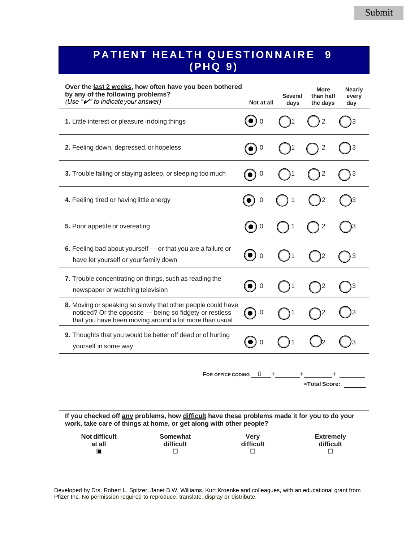## **PATIENT HEALTH QUESTIONNAIRE 9 ( P H Q- 9 )**

| Over the last 2 weeks, how often have you been bothered<br>by any of the following problems?<br>(Use " $\mathcal{V}$ " to indicate your answer)                                   | Not at all                              | Several<br>days | <b>More</b><br>than half<br>the days | <b>Nearly</b><br>every<br>day |
|-----------------------------------------------------------------------------------------------------------------------------------------------------------------------------------|-----------------------------------------|-----------------|--------------------------------------|-------------------------------|
| 1. Little interest or pleasure indoing things                                                                                                                                     | $\mathbf 0$                             |                 | 2                                    |                               |
| 2. Feeling down, depressed, or hopeless                                                                                                                                           | $\mathbf 0$                             |                 | 2                                    |                               |
| 3. Trouble falling or staying asleep, or sleeping too much                                                                                                                        | $\mathbf 0$                             |                 | $\mathbf 2$                          | 3                             |
| 4. Feeling tired or having little energy                                                                                                                                          | $\boldsymbol{0}$                        | 1               |                                      |                               |
| 5. Poor appetite or overeating                                                                                                                                                    | $\boldsymbol{0}$                        |                 | 2                                    |                               |
| 6. Feeling bad about yourself - or that you are a failure or<br>have let yourself or your family down                                                                             | $(\bullet)$<br>$\overline{0}$           |                 |                                      | 3                             |
| 7. Trouble concentrating on things, such as reading the<br>newspaper or watching television                                                                                       | $\mathbf 0$<br>$\left( \bullet \right)$ |                 | 2                                    | 3                             |
| 8. Moving or speaking so slowly that other people could have<br>noticed? Or the opposite - being so fidgety or restless<br>that you have been moving around a lot more than usual | $\mathbf 0$                             |                 |                                      |                               |
| 9. Thoughts that you would be better off dead or of hurting<br>yourself in some way                                                                                               | $\overline{0}$                          |                 |                                      |                               |
|                                                                                                                                                                                   |                                         |                 |                                      |                               |

**FOR OFFICE CODING** *0* **+ + + =Total Score:**

**If you checked off any problems, how difficult have these problems made it for you to do your work, take care of things at home, or get along with other people?**

| <b>Not difficult</b> | Somewhat  | <b>Verv</b> | <b>Extremely</b> |
|----------------------|-----------|-------------|------------------|
| at all               | difficult | difficult   | difficult        |
|                      |           |             |                  |

Developed by Drs. Robert L. Spitzer, Janet B.W. Williams, Kurt Kroenke and colleagues, with an educational grant from Pfizer Inc. No permission required to reproduce, translate, display or distribute.